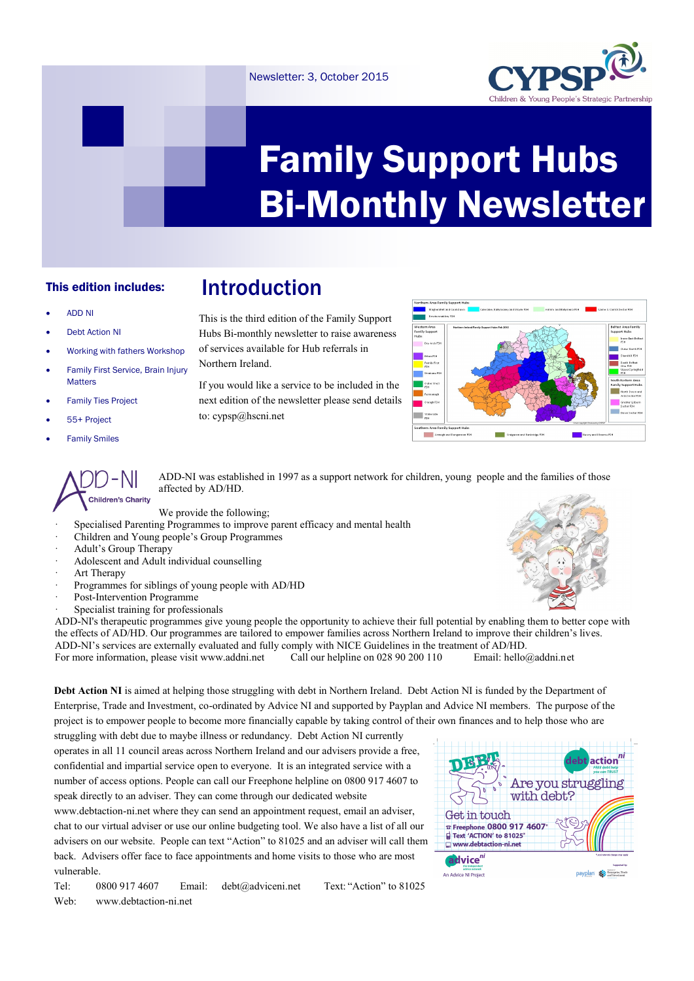## Newsletter: 3, October 2015



# Family Support Hubs Bi-Monthly Newsletter

# This edition includes:

#### ADD NI

- Debt Action NI
- Working with fathers Workshop
- Family First Service, Brain Injury **Matters**
- Family Ties Project
- 55+ Project
- Family Smiles



This is the third edition of the Family Support Hubs Bi-monthly newsletter to raise awareness of services available for Hub referrals in Northern Ireland.

Introduction

If you would like a service to be included in the next edition of the newsletter please send details to: cypsp@hscni.net



ADD-NI was established in 1997 as a support network for children, young people and the families of those affected by AD/HD.

We provide the following;

- Specialised Parenting Programmes to improve parent efficacy and mental health
- · Children and Young people's Group Programmes
- Adult's Group Therapy
- Adolescent and Adult individual counselling
- Art Therapy
- Programmes for siblings of young people with AD/HD
- Post-Intervention Programme
- Specialist training for professionals

ADD-NI's therapeutic programmes give young people the opportunity to achieve their full potential by enabling them to better cope with the effects of AD/HD. Our programmes are tailored to empower families across Northern Ireland to improve their children's lives. ADD-NI's services are externally evaluated and fully comply with NICE Guidelines in the treatment of AD/HD. For more information, please visit www.addni.net Call our helpline on 028 90 200 110 Email: hello@addni.net

**Debt Action NI** is aimed at helping those struggling with debt in Northern Ireland. Debt Action NI is funded by the Department of Enterprise, Trade and Investment, co-ordinated by Advice NI and supported by Payplan and Advice NI members. The purpose of the project is to empower people to become more financially capable by taking control of their own finances and to help those who are

struggling with debt due to maybe illness or redundancy. Debt Action NI currently operates in all 11 council areas across Northern Ireland and our advisers provide a free, confidential and impartial service open to everyone. It is an integrated service with a number of access options. People can call our Freephone helpline on 0800 917 4607 to speak directly to an adviser. They can come through our dedicated website

www.debtaction-ni.net where they can send an appointment request, email an adviser, chat to our virtual adviser or use our online budgeting tool. We also have a list of all our advisers on our website. People can text "Action" to 81025 and an adviser will call them back. Advisers offer face to face appointments and home visits to those who are most vulnerable.

Tel: 0800 917 4607 Email: debt@adviceni.net Text: "Action" to 81025 Web: www.debtaction-ni.net